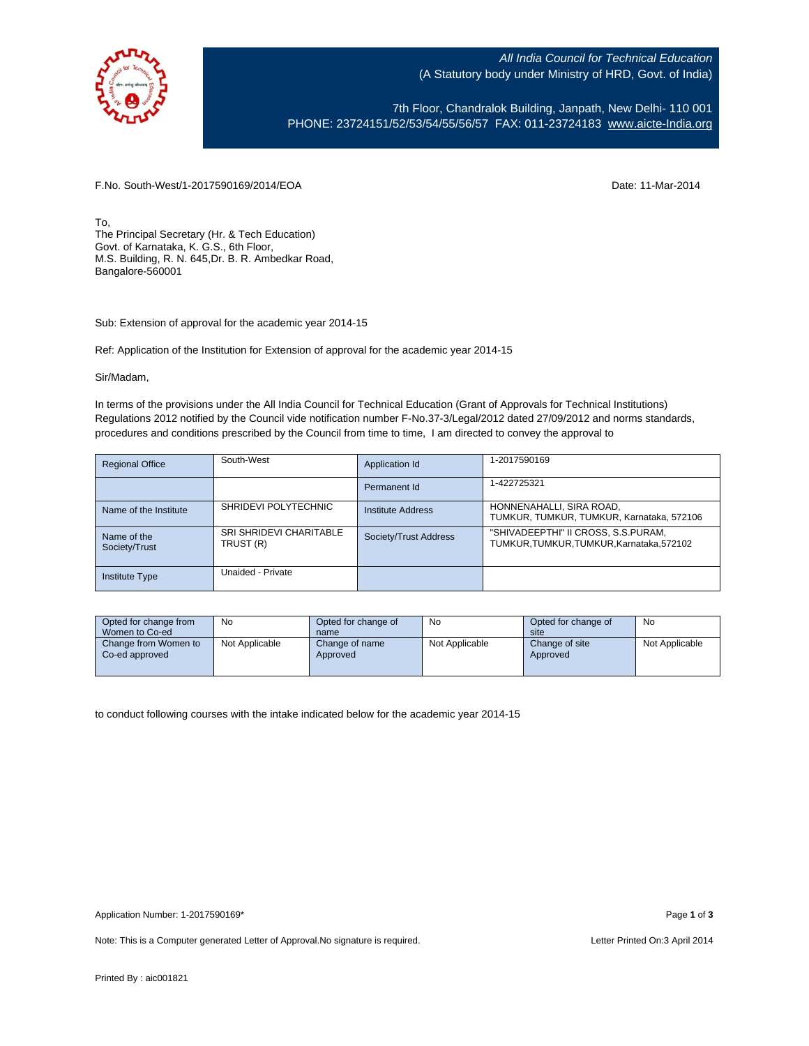

All India Council for Technical Education (A Statutory body under Ministry of HRD, Govt. of India)

7th Floor, Chandralok Building, Janpath, New Delhi- 110 001 PHONE: 23724151/52/53/54/55/56/57 FAX: 011-23724183 [www.aicte-India.org](http://www.aicte-india.org/)

F.No. South-West/1-2017590169/2014/EOA Date: 11-Mar-2014

To, The Principal Secretary (Hr. & Tech Education) Govt. of Karnataka, K. G.S., 6th Floor, M.S. Building, R. N. 645,Dr. B. R. Ambedkar Road, Bangalore-560001

Sub: Extension of approval for the academic year 2014-15

Ref: Application of the Institution for Extension of approval for the academic year 2014-15

Sir/Madam,

In terms of the provisions under the All India Council for Technical Education (Grant of Approvals for Technical Institutions) Regulations 2012 notified by the Council vide notification number F-No.37-3/Legal/2012 dated 27/09/2012 and norms standards, procedures and conditions prescribed by the Council from time to time, I am directed to convey the approval to

| <b>Regional Office</b>       | South-West                           | Application Id        | 1-2017590169                                                                 |
|------------------------------|--------------------------------------|-----------------------|------------------------------------------------------------------------------|
|                              |                                      | Permanent Id          | 1-422725321                                                                  |
| Name of the Institute        | SHRIDEVI POLYTECHNIC                 | Institute Address     | HONNENAHALLI, SIRA ROAD,<br>TUMKUR, TUMKUR, TUMKUR, Karnataka, 572106        |
| Name of the<br>Society/Trust | SRI SHRIDEVI CHARITABLE<br>TRUST (R) | Society/Trust Address | "SHIVADEEPTHI" II CROSS, S.S.PURAM,<br>TUMKUR.TUMKUR.TUMKUR.Karnataka.572102 |
| <b>Institute Type</b>        | Unaided - Private                    |                       |                                                                              |

| Opted for change from<br>Women to Co-ed | No             | Opted for change of<br>name | No             | Opted for change of<br>site | No             |
|-----------------------------------------|----------------|-----------------------------|----------------|-----------------------------|----------------|
| Change from Women to<br>Co-ed approved  | Not Applicable | Change of name<br>Approved  | Not Applicable | Change of site<br>Approved  | Not Applicable |

to conduct following courses with the intake indicated below for the academic year 2014-15

Note: This is a Computer generated Letter of Approval.No signature is required. Letter Printed On:3 April 2014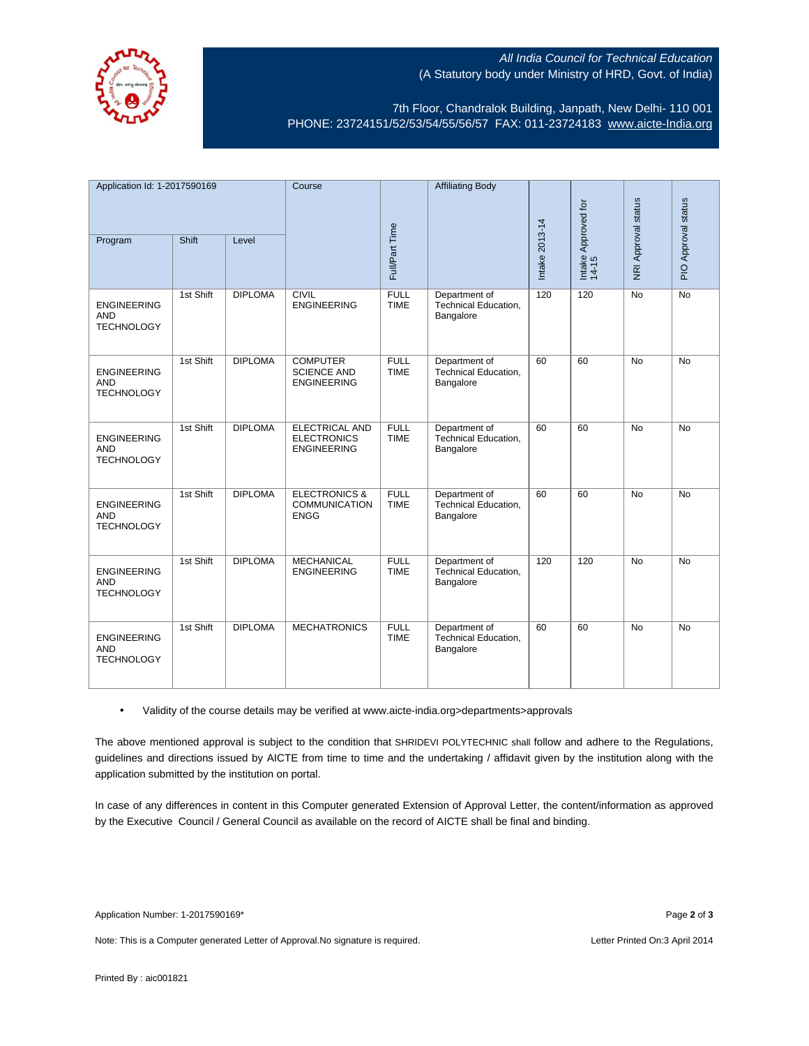

## All India Council for Technical Education (A Statutory body under Ministry of HRD, Govt. of India)

7th Floor, Chandralok Building, Janpath, New Delhi- 110 001 PHONE: 23724151/52/53/54/55/56/57 FAX: 011-23724183 [www.aicte-India.org](http://www.aicte-india.org/)

| Application Id: 1-2017590169                          |           | Course         |                                                                   | <b>Affiliating Body</b>    |                                                           |                              |                     |                     |           |
|-------------------------------------------------------|-----------|----------------|-------------------------------------------------------------------|----------------------------|-----------------------------------------------------------|------------------------------|---------------------|---------------------|-----------|
|                                                       |           |                |                                                                   |                            | Intake 2013-14                                            | Intake Approved for<br>14-15 | NRI Approval status | PIO Approval status |           |
| Program                                               | Shift     | Level          | Full/Part Time                                                    |                            |                                                           |                              |                     |                     |           |
| <b>ENGINEERING</b><br><b>AND</b><br><b>TECHNOLOGY</b> | 1st Shift | <b>DIPLOMA</b> | <b>CIVIL</b><br><b>ENGINEERING</b>                                | <b>FULL</b><br><b>TIME</b> | Department of<br>Technical Education,<br>Bangalore        | 120                          | 120                 | <b>No</b>           | No        |
| <b>ENGINEERING</b><br><b>AND</b><br><b>TECHNOLOGY</b> | 1st Shift | <b>DIPLOMA</b> | <b>COMPUTER</b><br><b>SCIENCE AND</b><br><b>ENGINEERING</b>       | <b>FULL</b><br><b>TIME</b> | Department of<br>Technical Education,<br>Bangalore        | 60                           | 60                  | <b>No</b>           | <b>No</b> |
| <b>ENGINEERING</b><br><b>AND</b><br><b>TECHNOLOGY</b> | 1st Shift | <b>DIPLOMA</b> | <b>ELECTRICAL AND</b><br><b>ELECTRONICS</b><br><b>ENGINEERING</b> | <b>FULL</b><br><b>TIME</b> | Department of<br>Technical Education,<br>Bangalore        | 60                           | 60                  | <b>No</b>           | No        |
| <b>ENGINEERING</b><br><b>AND</b><br><b>TECHNOLOGY</b> | 1st Shift | <b>DIPLOMA</b> | <b>ELECTRONICS &amp;</b><br><b>COMMUNICATION</b><br><b>ENGG</b>   | <b>FULL</b><br><b>TIME</b> | Department of<br>Technical Education,<br>Bangalore        | 60                           | 60                  | <b>No</b>           | <b>No</b> |
| <b>ENGINEERING</b><br><b>AND</b><br><b>TECHNOLOGY</b> | 1st Shift | <b>DIPLOMA</b> | <b>MECHANICAL</b><br><b>ENGINEERING</b>                           | <b>FULL</b><br><b>TIME</b> | Department of<br><b>Technical Education,</b><br>Bangalore | 120                          | 120                 | N <sub>0</sub>      | <b>No</b> |
| <b>ENGINEERING</b><br><b>AND</b><br><b>TECHNOLOGY</b> | 1st Shift | <b>DIPLOMA</b> | <b>MECHATRONICS</b>                                               | <b>FULL</b><br><b>TIME</b> | Department of<br><b>Technical Education,</b><br>Bangalore | 60                           | 60                  | <b>No</b>           | No        |

• Validity of the course details may be verified at www.aicte-india.org>departments>approvals

The above mentioned approval is subject to the condition that SHRIDEVI POLYTECHNIC shall follow and adhere to the Regulations, guidelines and directions issued by AICTE from time to time and the undertaking / affidavit given by the institution along with the application submitted by the institution on portal.

In case of any differences in content in this Computer generated Extension of Approval Letter, the content/information as approved by the Executive Council / General Council as available on the record of AICTE shall be final and binding.

Note: This is a Computer generated Letter of Approval. No signature is required. <br>
Note: This is a Computer generated Letter of Approval. No signature is required.